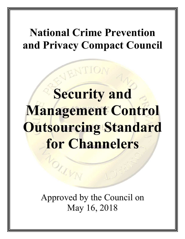## **National Crime Prevention and Privacy Compact Council**

# **Security and Management Control Outsourcing Standard for Channelers**

Approved by the Council on May 16, 2018

NOISEW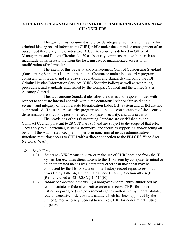### **SECURITY and MANAGEMENT CONTROL OUTSOURCING STANDARD for CHANNELERS**

The goal of this document is to provide adequate security and integrity for criminal history record information (CHRI) while under the control or management of an outsourced third party, the Contractor. Adequate security is defined in Office of Management and Budget Circular A-130 as "security commensurate with the risk and magnitude of harm resulting from the loss, misuse, or unauthorized access to or modification of information."

The intent of this Security and Management Control Outsourcing Standard (Outsourcing Standard) is to require that the Contractor maintain a security program consistent with federal and state laws, regulations, and standards (including the FBI Criminal Justice Information Services (CJIS) Security Policy) as well as with rules, procedures, and standards established by the Compact Council and the United States Attorney General.

This Outsourcing Standard identifies the duties and responsibilities with respect to adequate internal controls within the contractual relationship so that the security and integrity of the Interstate Identification Index (III) System and CHRI are not compromised. The standard security program shall include consideration of site security, dissemination restrictions, personnel security, system security, and data security.

The provisions of this Outsourcing Standard are established by the Compact Council pursuant to 28 CFR Part 906 and are subject to the scope of that rule. They apply to all personnel, systems, networks, and facilities supporting and/or acting on behalf of the Authorized Recipient to perform noncriminal justice administrative functions requiring access to CHRI with a direct connection to the FBI CJIS Wide Area Network (WAN).

#### 1.0 *Definitions*

- 1.01 *Access to CHRI* means to view or make use of CHRI obtained from the III System but excludes direct access to the III System by computer terminal or other automated means by Contractors other than those that may be contracted by the FBI or state criminal history record repositories or as provided by Title 34, United States Code (U.S.C.), Section 40314 (b), (formally cited as  $42$  U.S.C.  $\S$  14614(b)).
- 1.02 *Authorized Recipient* means (1) a nongovernmental entity authorized by federal statute or federal executive order to receive CHRI for noncriminal justice purposes, or (2) a government agency authorized by federal statute, federal executive order, or state statute which has been approved by the United States Attorney General to receive CHRI for noncriminal justice purposes.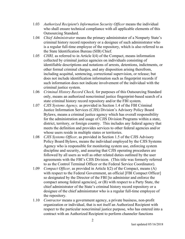- 1.03 *Authorized Recipient's Information Security Officer* means the individual who shall ensure technical compliance with all applicable elements of this Outsourcing Standard.
- 1.04 *Chief Administrator* means the primary administrator of a Nonparty State's criminal history record repository or a designee of such administrator who is a regular full-time employee of the repository, which is also referred to as the State Identification Bureau (SIB) Chief.
- 1.05 *CHRI,* as referred to in Article I(4) of the Compact, means information collected by criminal justice agencies on individuals consisting of identifiable descriptions and notations of arrests, detentions, indictments, or other formal criminal charges, and any disposition arising therefrom, including acquittal, sentencing, correctional supervision, or release; but does not include identification information such as fingerprint records if such information does not indicate involvement of the individual with the criminal justice system.
- 1.06 *Criminal History Record Check,* for purposes of this Outsourcing Standard only, means an authorized noncriminal justice fingerprint-based search of a state criminal history record repository and/or the FBI system.
- 1.07 *CJIS Systems Agency,* as provided in Section 1.4 of the FBI Criminal Justice Information Services (CJIS) Division's Advisory Policy Board Bylaws, means a criminal justice agency which has overall responsibility for the administration and usage of CJIS Division Programs within a state, district, territory, or foreign country. This includes any federal agency that meets the definition and provides services to other federal agencies and/or whose users reside in multiple states or territories.
- 1.08 *CJIS Systems Officer,* as provided in Section 1.5 of the CJIS Advisory Policy Board Bylaws, means the individual employed by the CJIS Systems Agency who is responsible for monitoring system use, enforcing system discipline and security, and assuring that CJIS operating procedures are followed by all users as well as other related duties outlined by the user agreements with the FBI's CJIS Division. (This title was formerly referred to as the Control Terminal Officer or the Federal Service Coordinator).
- 1.09 *Compact Officer,* as provided in Article I(2) of the Compact, means (A) with respect to the Federal Government, an official [FBI Compact Officer] so designated by the Director of the FBI [to administer and enforce the compact among federal agencies], or (B) with respect to a Party State, the chief administrator of the State's criminal history record repository or a designee of the chief administrator who is a regular full-time employee of the repository.
- 1.10 *Contractor* means a government agency, a private business, non-profit organization or individual, that is not itself an Authorized Recipient with respect to the particular noncriminal justice purpose, who has entered into a contract with an Authorized Recipient to perform channeler functions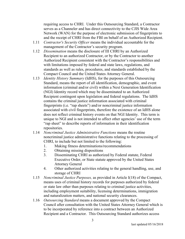requiring access to CHRI. Under this Outsourcing Standard, a Contractor serves as a Channeler and has direct connectivity to the CJIS Wide Area Network (WAN) for the purpose of electronic submission of fingerprints to and the receipt of CHRI from the FBI on behalf of an Authorized Recipient.

- 1.11 *Contractor's Security Officer* means the individual accountable for the management of the Contractor's security program.
- 1.12 *Dissemination* means the disclosure of III CHRI by an Authorized Recipient to an authorized Contractor, or by the Contractor to another Authorized Recipient consistent with the Contractor's responsibilities and with limitations imposed by federal and state laws, regulations, and standards as well as rules, procedures, and standards established by the Compact Council and the United States Attorney General.
- 1.13 *Identity History Summary* (IdHS), for the purposes of this Outsourcing Standard, means the report of all identification, demographic, and event information (criminal and/or civil) within a Next Generation Identification (NGI) Identity record which may be disseminated to an Authorized Recipient contingent upon legislation and federal regulations. The IdHS contains the criminal justice information associated with criminal fingerprints (i.e. "rap sheets") and/or noncriminal justice information associated with civil fingerprints, therefore the existence of an IdHS alone does not reflect criminal history events on that NGI Identity. This term is unique to NGI and is not intended to affect other agencies' use of the term "rap sheet" to describe reports of information in their identification repositories.
- 1.14 *Noncriminal Justice Administrative Functions* means the routine noncriminal justice administrative functions relating to the processing of CHRI, to include but not limited to the following:
	- 1. Making fitness determinations/recommendations
	- 2. Obtaining missing dispositions
	- 3. Disseminating CHRI as authorized by Federal statute, Federal Executive Order, or State statute approved by the United States Attorney General
	- 4. Other authorized activities relating to the general handling, use, and storage of CHRI
- 1.15 *Noncriminal Justice Purposes,* as provided in Article I(18) of the Compact, means uses of criminal history records for purposes authorized by federal or state law other than purposes relating to criminal justice activities, including employment suitability, licensing determinations, immigration and naturalization matters, and national security clearances.
- 1.16 *Outsourcing Standard* means a document approved by the Compact Council after consultation with the United States Attorney General which is to be incorporated by reference into a contract between an Authorized Recipient and a Contractor. This Outsourcing Standard authorizes access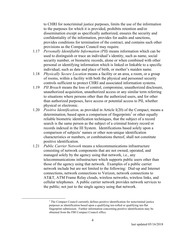to CHRI for noncriminal justice purposes, limits the use of the information to the purposes for which it is provided, prohibits retention and/or dissemination except as specifically authorized, ensures the security and confidentiality of the information, provides for audits and sanctions, provides conditions for termination of the contract, and contains such other provisions as the Compact Council may require.

- 1.17 *Personally Identifiable Information (PII)* means information which can be used to distinguish or trace an individual's identity, such as name, social security number, or biometric records, alone or when combined with other personal or identifying information which is linked or linkable to a specific individual, such as date and place of birth, or mother's maiden name.
- 1.18 *Physically Secure Location* means a facility or an area, a room, or a group of rooms, within a facility with both the physical and personnel security controls sufficient to protect CHRI and associated information systems.
- 1.19 *PII Breach* means the loss of control, compromise, unauthorized disclosure, unauthorized acquisition, unauthorized access or any similar term referring to situations where persons other than the authorized users, and for other than authorized purposes, have access or potential access to PII, whether physical or electronic.
- 1.20 *Positive Identification,* as provided in Article I(20) of the Compact, means a determination, based upon a comparison of fingerprints<sup>1</sup> or other equally reliable biometric identification techniques, that the subject of a record search is the same person as the subject of a criminal history record or records indexed in the III System. Identifications based solely upon a comparison of subjects' names or other non-unique identification characteristics or numbers, or combinations thereof, shall not constitute positive identification.
- 1.21 *Public Carrier Network* means a telecommunications infrastructure consisting of network components that are not owned, operated, and managed solely by the agency using that network, i.e., any telecommunications infrastructure which supports public users other than those of the agency using that network. Examples of a public carrier network include but are not limited to the following: Dial-up and Internet connections, network connections to Verizon, network connections to AT&T, ATM Frame Relay clouds, wireless networks, wireless links, and cellular telephones. A public carrier network provides network services to the public; not just to the single agency using that network.

 $\overline{a}$ 

<sup>&</sup>lt;sup>1</sup> The Compact Council currently defines positive identification for noncriminal justice purposes as identification based upon a qualifying ten-rolled or qualifying ten-flat fingerprint submission. Further information concerning positive identification may be obtained from the FBI Compact Council office.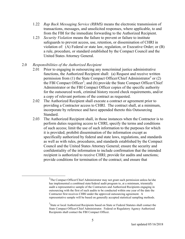- 1.22 *Rap Back Messaging Service (RBMS)* means the electronic transmission of transactions, messages, and unsolicited responses, where applicable, to and from the FBI for the immediate forwarding to the Authorized Recipient.
- 1.23 *Security Violation* means the failure to prevent or failure to institute safeguards to prevent access, use, retention, or dissemination of CHRI in violation of: (A) Federal or state law, regulation, or Executive Order; or (B) a rule, procedure, or standard established by the Compact Council and the United States Attorney General.

#### 2.0 *Responsibilities of the Authorized Recipient*

 $\overline{a}$ 

- 2.01 Prior to engaging in outsourcing any noncriminal justice administrative functions, the Authorized Recipient shall: (a) Request and receive written permission from (1) the State Compact Officer/Chief Administrator<sup>2</sup> or (2) the FBI Compact Officer<sup>3</sup>; and (b) provide the State Compact Officer/Chief Administrator or the FBI Compact Officer copies of the specific authority for the outsourced work, criminal history record check requirements, and/or a copy of relevant portions of the contract as requested.
- 2.02 The Authorized Recipient shall execute a contract or agreement prior to providing a Contractor access to CHRI. The contract shall, at a minimum, incorporate by reference and have appended thereto this Outsourcing Standard.
- 2.03 The Authorized Recipient shall, in those instances when the Contractor is to perform duties requiring access to CHRI, specify the terms and conditions of such access; limit the use of such information to the purposes for which it is provided; prohibit dissemination of the information except as specifically authorized by federal and state laws, regulations, and standards as well as with rules, procedures, and standards established by the Compact Council and the United States Attorney General; ensure the security and confidentiality of the information to include confirmation that the intended recipient is authorized to receive CHRI; provide for audits and sanctions; provide conditions for termination of the contract; and ensure that

 $2$ The Compact Officer/Chief Administrator may not grant such permission unless he/she has implemented a combined state/federal audit program to, at a minimum, triennially audit a representative sample of the Contractors and Authorized Recipients engaging in outsourcing with the first of such audits to be conducted within one year of the date the Contractor first receives CHRI under the approved outsourcing agreement. A representative sample will be based on generally accepted statistical sampling methods.

<sup>&</sup>lt;sup>3</sup>State or local Authorized Recipients based on State or Federal Statutes shall contact the State Compact Officer/Chief Administrator. Federal or Regulatory Agency Authorized Recipients shall contact the FBI Compact Officer.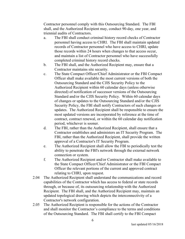Contractor personnel comply with this Outsourcing Standard. The FBI shall, and the Authorized Recipient may, conduct 90-day, one year, and triennial audits of Contractors.

- a. The FBI shall conduct criminal history record checks of Contractor personnel having access to CHRI. The FBI shall maintain updated records of Contractor personnel who have access to CHRI, update those records within 24 hours when changes to that access occur, and maintain a list of Contractor personnel who have successfully completed criminal history record checks.
- b. The FBI shall, and the Authorized Recipient may, ensure that a Contractor maintains site security.
- c. The State Compact Officer/Chief Administrator or the FBI Compact Officer shall make available the most current versions of both the Outsourcing Standard and the CJIS Security Policy to the Authorized Recipient within 60 calendar days (unless otherwise directed) of notification of successor versions of the Outsourcing Standard and/or the CJIS Security Policy. Within 60 calendar days of changes or updates to the Outsourcing Standard and/or the CJIS Security Policy, the FBI shall notify Contractors of such changes or updates. The Authorized Recipient shall be responsible to ensure the most updated versions are incorporated by reference at the time of contract, contract renewal, or within the 60 calendar day notification period, whichever is sooner.
- d. The FBI, rather than the Authorized Recipient, shall ensure that a Contractor establishes and administers an IT Security Program. The FBI, rather than the Authorized Recipient, shall provide the written approval of a Contractor's IT Security Program.
- e. The Authorized Recipient shall allow the FBI to periodically test the ability to penetrate the FBI's network through the external network connection or system.
- f. The Authorized Recipient and/or Contractor shall make available to the State Compact Officer/Chief Administrator or the FBI Compact Officer the relevant portions of the current and approved contract relating to CHRI, upon request.
- 2.04 The Authorized Recipient shall understand the communications and record capabilities of the Contractor which has access to federal or state records through, or because of, its outsourcing relationship with the Authorized Recipient. The FBI shall, and the Authorized Recipient may, maintain an updated topological drawing which depicts the interconnectivity of a Contractor's network configuration.
- 2.05 The Authorized Recipient is responsible for the actions of the Contractor and shall monitor the Contractor's compliance to the terms and conditions of the Outsourcing Standard. The FBI shall certify to the FBI Compact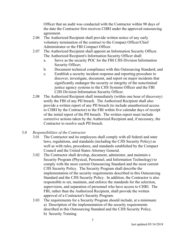Officer that an audit was conducted with the Contractor within 90 days of the date the Contractor first receives CHRI under the approved outsourcing agreement.

- 2.06 The Authorized Recipient shall provide written notice of any early voluntary termination of the contract to the Compact Officer/Chief Administrator or the FBI Compact Officer.
- 2.07 The Authorized Recipient shall appoint an Information Security Officer. The Authorized Recipient's Information Security Officer shall:
	- a. Serve as the security POC for the FBI CJIS Division Information Security Officer;
	- b. Document technical compliance with this Outsourcing Standard; and
	- c. Establish a security incident response and reporting procedure to discover, investigate, document, and report on major incidents that significantly endanger the security or integrity of the noncriminal justice agency systems to the CJIS Systems Officer and the FBI CJIS Division Information Security Officer.
- 2.08 The Authorized Recipient shall immediately (within one hour of discovery) notify the FBI of any PII breach. The Authorized Recipient shall also provide a written report of any PII breach (to include unauthorized access to CHRI by the Contractor) to the FBI within five calendar days of receipt of the initial report of the PII breach. The written report must include corrective actions taken by the Authorized Recipient and, if necessary, the Contractor to resolve such PII breach.
- 3.0 *Responsibilities of the Contractor*
	- 3.01 The Contractor and its employees shall comply with all federal and state laws, regulations, and standards (including the CJIS Security Policy) as well as with rules, procedures, and standards established by the Compact Council and the United States Attorney General.
	- 3.02 The Contractor shall develop, document, administer, and maintain a Security Program (Physical, Personnel, and Information Technology) to comply with the most current Outsourcing Standard and the most current CJIS Security Policy. The Security Program shall describe the implementation of the security requirements described in this Outsourcing Standard and the CJIS Security Policy. In addition, the Contractor is also responsible to set, maintain, and enforce the standards for the selection, supervision, and separation of personnel who have access to CHRI. The FBI, rather than the Authorized Recipient, shall provide the written approval of a Contractor's Security Program.
	- 3.03 The requirements for a Security Program should include, at a minimum: a) Description of the implementation of the security requirements described in this Outsourcing Standard and the CJIS Security Policy. b) Security Training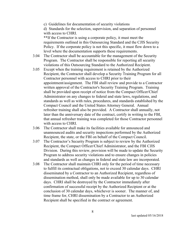c) Guidelines for documentation of security violations

d) Standards for the selection, supervision, and separation of personnel with access to CHRI.

\*\*If the Contractor is using a corporate policy, it must meet the requirements outlined in this Outsourcing Standard and the CJIS Security Policy. If the corporate policy is not this specific, it must flow down to a level where the documentation supports these requirements.

- 3.04 The Contractor shall be accountable for the management of the Security Program. The Contractor shall be responsible for reporting all security violations of this Outsourcing Standard to the Authorized Recipient.
- 3.05 Except when the training requirement is retained by the Authorized Recipient, the Contractor shall develop a Security Training Program for all Contractor personnel with access to CHRI prior to their appointment/assignment. The FBI shall review and provide to a Contractor written approval of the Contractor's Security Training Program. Training shall be provided upon receipt of notice from the Compact Officer/Chief Administrator on any changes to federal and state laws, regulations, and standards as well as with rules, procedures, and standards established by the Compact Council and the United States Attorney General. Annual refresher training shall also be provided. A Contractor shall annually, not later than the anniversary date of the contract, certify in writing to the FBI, that annual refresher training was completed for those Contractor personnel with access to CHRI.
- 3.06 The Contractor shall make its facilities available for announced and unannounced audits and security inspections performed by the Authorized Recipient, the state, or the FBI on behalf of the Compact Council.
- 3.07 The Contractor's Security Program is subject to review by the Authorized Recipient, the Compact Officer/Chief Administrator, and the FBI CJIS Division. During this review, provision will be made to update the Security Program to address security violations and to ensure changes in policies and standards as well as changes in federal and state law are incorporated.
- 3.08 The Contractor shall maintain CHRI only for the period of time necessary to fulfill its contractual obligations, not to exceed 30 calendar days. CHRI disseminated by a Contractor to an Authorized Recipient, regardless of dissemination method, shall only be made available for up to 30 calendar days. CHRI shall be destroyed by the Contractor immediately after confirmation of successful receipt by the Authorized Recipient or at the conclusion of 30 calendar days, whichever is sooner. The manner of, and time frame for, CHRI dissemination by a Contractor to an Authorized Recipient shall be specified in the contract or agreement.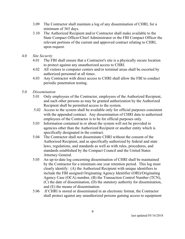- 3.09 The Contractor shall maintain a log of any dissemination of CHRI, for a minimum of 365 days.
- 3.10The Authorized Recipient and/or Contractor shall make available to the State Compact Officer/Chief Administrator or the FBI Compact Officer the relevant portions of the current and approved contract relating to CHRI, upon request.
- 4.0 *Site Security*
	- 4.01 The FBI shall ensure that a Contractor's site is a physically secure location to protect against any unauthorized access to CHRI.
	- 4.02 All visitors to computer centers and/or terminal areas shall be escorted by authorized personnel at all times.
	- 4.03 Any Contractor with direct access to CHRI shall allow the FBI to conduct periodic penetration testing.
- 5.0 *Dissemination*
	- 5.01 Only employees of the Contractor, employees of the Authorized Recipient, and such other persons as may be granted authorization by the Authorized Recipient shall be permitted access to the system.
	- 5.02 Access to the system shall be available only for official purposes consistent with the appended contract. Any dissemination of CHRI data to authorized employees of the Contractor is to be for official purposes only.
	- 5.03 Information contained in or about the system will not be provided to agencies other than the Authorized Recipient or another entity which is specifically designated in the contract.
	- 5.04 The Contractor shall not disseminate CHRI without the consent of the Authorized Recipient, and as specifically authorized by federal and state laws, regulations, and standards as well as with rules, procedures, and standards established by the Compact Council and the United States Attorney General.
	- 5.05 An up-to-date log concerning dissemination of CHRI shall be maintained by the Contractor for a minimum one year retention period. This log must clearly identify: (A) the Authorized Recipient with unique identifiers to include the FBI assigned Originating Agency Identifier (ORI)/Originating Agency Case (OCA) number, (B) the Transaction Control Number (TCN), (C) the date of dissemination, (D) the statutory authority for dissemination, and (E) the means of dissemination.
	- 5.06 If CHRI is stored or disseminated in an electronic format, the Contractor shall protect against any unauthorized persons gaining access to equipment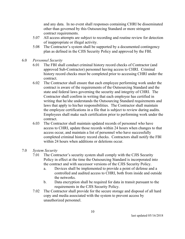and any data. In no event shall responses containing CHRI be disseminated other than governed by this Outsourcing Standard or more stringent contract requirements.

- 5.07 All access attempts are subject to recording and routine review for detection of inappropriate or illegal activity.
- 5.08 The Contractor's system shall be supported by a documented contingency plan as defined in the CJIS Security Policy and approved by the FBI.
- 6.0 *Personnel Security* 
	- 6.01 The FBI shall conduct criminal history record checks of Contractor (and approved Sub-Contractor) personnel having access to CHRI. Criminal history record checks must be completed prior to accessing CHRI under the contract.
	- 6.02 The Contractor shall ensure that each employee performing work under the contract is aware of the requirements of the Outsourcing Standard and the state and federal laws governing the security and integrity of CHRI. The Contractor shall confirm in writing that each employee has certified in writing that he/she understands the Outsourcing Standard requirements and laws that apply to his/her responsibilities. The Contractor shall maintain the employee certifications in a file that is subject to review during audits. Employees shall make such certification prior to performing work under the contract.
	- 6.03 The Contractor shall maintain updated records of personnel who have access to CHRI, update those records within 24 hours when changes to that access occur, and maintain a list of personnel who have successfully completed criminal history record checks. Contractors shall notify the FBI within 24 hours when additions or deletions occur.
- 7.0 *System Security*
	- 7.01 The Contractor's security system shall comply with the CJIS Security Policy in effect at the time the Outsourcing Standard is incorporated into the contract and with successor versions of the CJIS Security Policy.
		- a. Devices shall be implemented to provide a point of defense and a controlled and audited access to CHRI, both from inside and outside the networks.
		- b. Data encryption shall be required for data in transit pursuant to the requirements in the CJIS Security Policy.
	- 7.02 The Contractor shall provide for the secure storage and disposal of all hard copy and media associated with the system to prevent access by unauthorized personnel.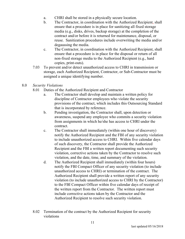- a. CHRI shall be stored in a physically secure location.
- b. The Contractor, in coordination with the Authorized Recipient, shall ensure that a procedure is in place for sanitizing all fixed storage media (e.g., disks, drives, backup storage) at the completion of the contract and/or before it is returned for maintenance, disposal, or reuse. Sanitization procedures include overwriting the media and/or degaussing the media.
- c. The Contractor, in coordination with the Authorized Recipient, shall ensure that a procedure is in place for the disposal or return of all non-fixed storage media to the Authorized Recipient (e.g., hard copies, print-outs).
- 7.03 To prevent and/or detect unauthorized access to CHRI in transmission or storage, each Authorized Recipient, Contractor, or Sub-Contractor must be assigned a unique identifying number.
- 8.0 *Security Violations*
	- 8.01 Duties of the Authorized Recipient and Contractor
		- a. The Contractor shall develop and maintain a written policy for discipline of Contractor employees who violate the security provisions of the contract, which includes this Outsourcing Standard that is incorporated by reference.
		- b. Pending investigation, the Contractor shall, upon detection or awareness, suspend any employee who commits a security violation from assignments in which he/she has access to CHRI under the contract.
		- c. The Contractor shall immediately (within one hour of discovery) notify the Authorized Recipient and the FBI of any security violation to include unauthorized access to CHRI. Within five calendar days of such discovery, the Contractor shall provide the Authorized Recipient and the FBI a written report documenting such security violation, corrective actions taken by the Contractor to resolve such violation, and the date, time, and summary of the violation.
		- d. The Authorized Recipient shall immediately (within four hours) notify the FBI Compact Officer of any security violation (to include unauthorized access to CHRI) or termination of the contract. The Authorized Recipient shall provide a written report of any security violation (to include unauthorized access to CHRI by the Contractor) to the FBI Compact Officer within five calendar days of receipt of the written report from the Contractor. The written report must include corrective actions taken by the Contractor and the Authorized Recipient to resolve such security violation.
	- 8.02 Termination of the contract by the Authorized Recipient for security violations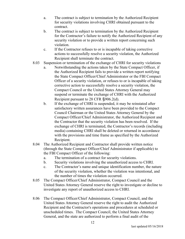- a. The contract is subject to termination by the Authorized Recipient for security violations involving CHRI obtained pursuant to the contract.
- b. The contract is subject to termination by the Authorized Recipient for the Contractor's failure to notify the Authorized Recipient of any security violation or to provide a written report concerning such violation.
- c. If the Contractor refuses to or is incapable of taking corrective actions to successfully resolve a security violation, the Authorized Recipient shall terminate the contract.
- 8.03 Suspension or termination of the exchange of CHRI for security violations
	- a. Notwithstanding the actions taken by the State Compact Officer, if the Authorized Recipient fails to provide a written report notifying the State Compact Officer/Chief Administrator or the FBI Compact Officer of a security violation, or refuses to or is incapable of taking corrective action to successfully resolve a security violation, the Compact Council or the United States Attorney General may suspend or terminate the exchange of CHRI with the Authorized Recipient pursuant to 28 CFR §906.2(d).
	- b. If the exchange of CHRI is suspended, it may be reinstated after satisfactory written assurances have been provided to the Compact Council Chairman or the United States Attorney General by the Compact Officer/Chief Administrator, the Authorized Recipient and the Contractor that the security violation has been resolved. If the exchange of CHRI is terminated, the Contractor's records (including media) containing CHRI shall be deleted or returned in accordance with the provisions and time frame as specified by the Authorized Recipient.
- 8.04 The Authorized Recipient and Contractor shall provide written notice (through the State Compact Officer/Chief Administrator if applicable) to the FBI Compact Officer of the following:
	- a. The termination of a contract for security violations.
	- b. Security violations involving the unauthorized access to CHRI.
	- c. The Contractor's name and unique identification number, the nature of the security violation, whether the violation was intentional, and the number of times the violation occurred.
- 8.05 The Compact Officer/Chief Administrator, Compact Council and the United States Attorney General reserve the right to investigate or decline to investigate any report of unauthorized access to CHRI.
- 8.06 The Compact Officer/Chief Administrator, Compact Council, and the United States Attorney General reserve the right to audit the Authorized Recipient and the Contractor's operations and procedures at scheduled or unscheduled times. The Compact Council, the United States Attorney General, and the state are authorized to perform a final audit of the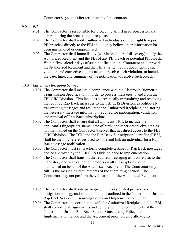Contractor's systems after termination of the contract.

- 9.0 *PII*
	- 9.01 The Contractor is responsible for protecting all PII in its possession and control during the processing of requests.
	- 9.02 The Contractor shall notify authorized individuals of their right to report PII breaches directly to the FBI should they believe their information has been mishandled or compromised.
	- 9.03 The Contractor shall immediately (within one hour of discovery) notify the Authorized Recipient and the FBI of any PII breach or potential PII breach. Within five calendar days of such notification, the Contractor shall provide the Authorized Recipient and the FBI a written report documenting such violation and corrective actions taken to resolve such violation, to include the date, time, and summary of the notification to resolve such breach.
- 10.0 *Rap Back Messaging Service*
	- 10.01 The Contractor shall maintain compliance with the Electronic Biometric Transmission Specification in order to process messages to and from the FBI CJIS Division. This includes electronically transmitting and receiving the required Rap Back messages to the FBI CJIS Division, expeditiously transmitting messages and results to the Authorized Recipient, and storing the necessary message information required for participation, validation, and removal of Rap Back subscriptions.
	- 10.02 The Contractor shall ensure that all applicant's PII, to include the applicant's fingerprints, name, date of birth, and other descriptive data, is not maintained on the Contractor's server that has direct access to the FBI CJIS Division. The TCN and the Rap Back Subscription Identifier (RBSI) shall be the only references used to store and link an individual for a Rap Back message notification.
	- 10.03 The Contractor must satisfactorily complete testing for Rap Back messages and be approved by the FBI CJIS Division prior to implementation.
	- 10.04 The Contractor shall transmit the required messaging as it correlates to the mandatory one year validation process on all subscriptions being maintained on behalf of the Authorized Recipient. The Contractor only fulfills the messaging requirements of the submitting agency. The Contractor may not perform the validation for the Authorized Recipient.
	- 10.05 The Contractor shall only participate in the designated privacy risk mitigation strategy and validation that is outlined in the Noncriminal Justice Rap Back Service Outsourcing Policy and Implementation Guide.
	- 10.06 The Contractor, in coordination with the Authorized Recipient and the FBI, shall complete all agreements and comply with the requirements of the Noncriminal Justice Rap Back Service Outsourcing Policy and Implementation Guide and the Agreement prior to being allowed to